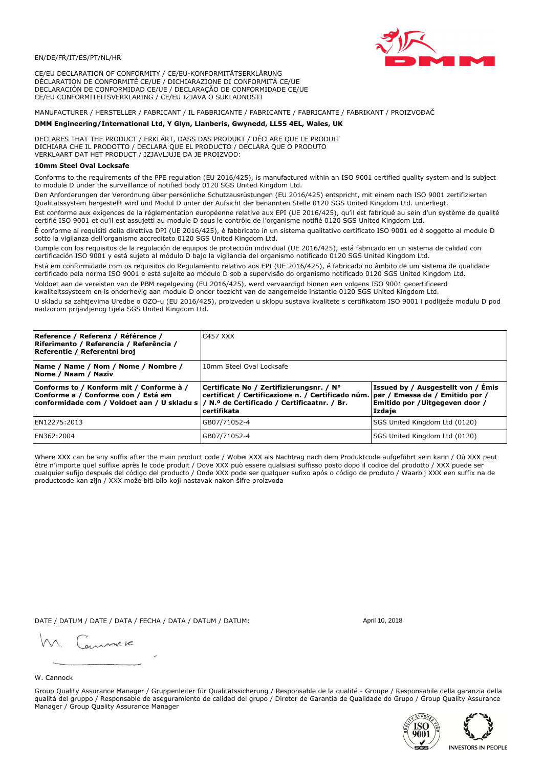

CE/EU DECLARATION OF CONFORMITY / CE/EU-KONFORMITÄTSERKLÄRUNG DÉCLARATION DE CONFORMITÉ CE/UE / DICHIARAZIONE DI CONFORMITÀ CE/UE DECLARACIÓN DE CONFORMIDAD CE/UE / DECLARAÇÃO DE CONFORMIDADE CE/UE CE/EU CONFORMITEITSVERKLARING / CE/EU IZJAVA O SUKLADNOSTI

MANUFACTURER / HERSTELLER / FABRICANT / IL FABBRICANTE / FABRICANTE / FABRICANTE / FABRIKANT / PROIZVOĐAČ

### DMM Engineering/International Ltd, Y Glyn, Llanberis, Gwynedd, LL55 4EL, Wales, UK

DECLARES THAT THE PRODUCT / ERKLÄRT, DASS DAS PRODUKT / DÉCLARE QUE LE PRODUIT<br>DICHIARA CHE IL PRODOTTO / DECLARA QUE EL PRODUCTO / DECLARA QUE O PRODUTO VERKLAART DAT HET PRODUCT / IZJAVLJUJE DA JE PROIZVOD:

# 10mm Steel Oval Locksafe

Conforms to the requirements of the PPE regulation (EU 2016/425), is manufactured within an ISO 9001 certified quality system and is subject to module D under the surveillance of notified body 0120 SGS United Kingdom Ltd.

Den Anforderungen der Verordnung über persönliche Schutzausrüstungen (EU 2016/425) entspricht, mit einem nach ISO 9001 zertifizierten Qualitätssystem hergestellt wird und Modul D unter der Aufsicht der benannten Stelle 0120 SGS United Kingdom Ltd. unterliegt.

Est conforme aux exigences de la réglementation européenne relative aux EPI (UE 2016/425), qu'il est fabriqué au sein d'un système de qualité certifié ISO 9001 et qu'il est assujetti au module D sous le contrôle de l'organisme notifié 0120 SGS United Kingdom Ltd.

È conforme ai requisiti della direttiva DPI (UE 2016/425), è fabbricato in un sistema qualitativo certificato ISO 9001 ed è soggetto al modulo D sotto la vigilanza dell'organismo accreditato 0120 SGS United Kingdom Ltd.

Cumple con los requisitos de la regulación de equipos de protección individual (UE 2016/425), está fabricado en un sistema de calidad con certificación ISO 9001 y está sujeto al módulo D bajo la vigilancia del organismo notificado 0120 SGS United Kingdom Ltd.

Está em conformidade com os requisitos do Regulamento relativo aos EPI (UE 2016/425), é fabricado no âmbito de um sistema de qualidade certificado pela norma ISO 9001 e está sujeito ao módulo D sob a supervisão do organismo notificado 0120 SGS United Kingdom Ltd. Voldoet aan de vereisten van de PBM regelgeving (EU 2016/425), werd vervaardigd binnen een volgens ISO 9001 gecertificeerd

kwaliteitssysteem en is onderhevig aan module D onder toezicht van de aangemelde instantie 0120 SGS United Kingdom Ltd.

U skladu sa zahtjevima Uredbe o OZO-u (EU 2016/425), proizveden u sklopu sustava kvalitete s certifikatom ISO 9001 i podliježe modulu D pod nadzorom prijavljenog tijela SGS United Kingdom Ltd.

| Reference / Referenz / Référence /<br>Riferimento / Referencia / Referência /<br>Referentie / Referentni broj                                                              | C457 XXX                                                                                                                                     |                                                                                 |
|----------------------------------------------------------------------------------------------------------------------------------------------------------------------------|----------------------------------------------------------------------------------------------------------------------------------------------|---------------------------------------------------------------------------------|
| Name / Name / Nom / Nome / Nombre /<br>Nome / Naam / Naziv                                                                                                                 | 10mm Steel Oval Locksafe                                                                                                                     |                                                                                 |
| Conforms to / Konform mit / Conforme à /<br>Conforme a / Conforme con / Está em<br>conformidade com / Voldoet aan / U skladu s / N.º de Certificado / Certificaatnr. / Br. | Certificate No / Zertifizierungsnr. / N°<br>certificat / Certificazione n. / Certificado núm. par / Emessa da / Emitido por /<br>certifikata | Issued by / Ausgestellt von / Émis<br>Emitido por / Uitgegeven door /<br>Izdaje |
| EN12275:2013                                                                                                                                                               | GB07/71052-4                                                                                                                                 | SGS United Kingdom Ltd (0120)                                                   |
| EN362:2004                                                                                                                                                                 | GB07/71052-4                                                                                                                                 | SGS United Kingdom Ltd (0120)                                                   |

Where XXX can be any suffix after the main product code / Wobei XXX als Nachtrag nach dem Produktcode aufgeführt sein kann / Où XXX peut être n'importe quel suffixe après le code produit / Dove XXX può essere qualsiasi suffisso posto dopo il codice del prodotto / XXX puede ser cualquier sufijo después del código del producto / Onde XXX pode ser qualquer sufixo após o código de produto / Waarbij XXX een suffix na de productcode kan zijn / XXX može biti bilo koji nastavak nakon šifre proizvoda

DATE / DATUM / DATE / DATA / FECHA / DATA / DATUM / DATUM:

gimmic

April 10, 2018

### W. Cannock

Group Quality Assurance Manager / Gruppenleiter für Qualitätssicherung / Responsable de la qualité - Groupe / Responsabile della garanzia della qualità del gruppo / Responsable de aseguramiento de calidad del grupo / Diretor de Garantia de Qualidade do Grupo / Group Quality Assurance Manager / Group Quality Assurance Manager



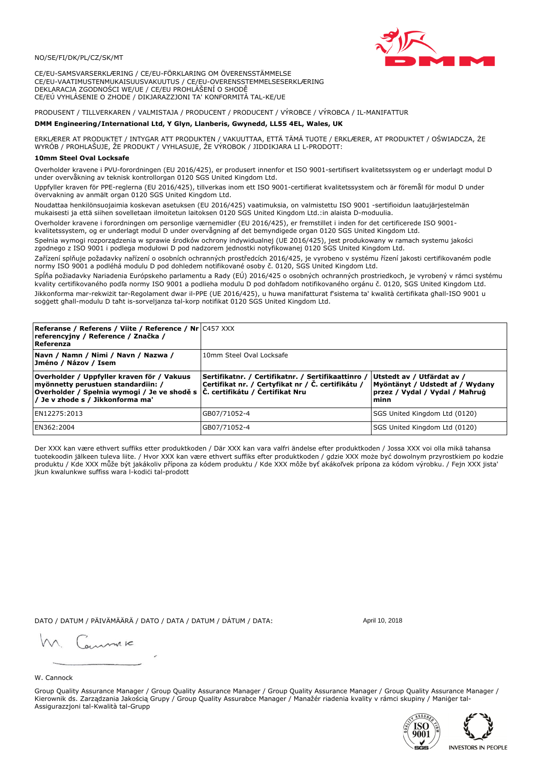

CE/EU-SAMSVARSERKLÆRING / CE/EU-FÖRKLARING OM ÖVERENSSTÄMMELSE CE/EU-VAATIMUSTENMUKAISUUSVAKUUTUS / CE/EU-OVERENSSTEMMELSESERKLÆRING DEKLARACJA ZGODNOŚCI WE/UE / CE/EU PROHLÁŠENÍ O SHODĚ CE/EÚ VYHLÁSENIE O ZHODE / DIKJARAZZJONI TA' KONFORMITÀ TAL-KE/UE

PRODUSENT / TILLVERKAREN / VALMISTAJA / PRODUCENT / PRODUCENT / VÝROBCE / VÝROBCA / IL-MANIFATTUR

### DMM Engineering/International Ltd, Y Glyn, Llanberis, Gwynedd, LL55 4EL, Wales, UK

ERKLÆRER AT PRODUKTET / INTYGAR ATT PRODUKTEN / VAKUUTTAA, ETTÄ TÄMÄ TUOTE / ERKLÆRER, AT PRODUKTET / OŚWIADCZA, ŻE<br>WYRÓB / PROHLAŠUJE, ŽE PRODUKT / VYHLASUJE, ŽE VÝROBOK / JIDDIKJARA LI L-PRODOTT:

Overholder kravene i PVU-forordningen (EU 2016/425), er produsert innenfor et ISO 9001-sertifisert kvalitetssystem og er underlagt modul D<br>under overvåkning av teknisk kontrollorgan 0120 SGS United Kingdom Ltd.

Uppfyller kraven för PPE-reglerna (EU 2016/425), tillverkas inom ett ISO 9001-certifierat kvalitetssystem och är föremål för modul D under övervakning av anmält organ 0120 SGS United Kingdom Ltd.

Noudattaa henkilönsuojaimia koskevan asetuksen (EU 2016/425) vaatimuksia, on valmistettu ISO 9001 -sertifioidun laatujärjestelmän mukaisesti ja että siihen sovelletaan ilmoitetun laitoksen 0120 SGS United Kingdom Ltd.:in alaista D-moduulia.

Overholder kravene i forordningen om personlige værnemidler (EU 2016/425), er fremstillet i inden for det certificerede ISO 9001kvalitetssystem, og er underlagt modul D under overvågning af det bemyndigede organ 0120 SGS United Kingdom Ltd.

Spełnia wymogi rozporządzenia w sprawie środków ochrony indywidualnej (UE 2016/425), jest produkowany w ramach systemu jakości zgodnego z ISO 9001 i podlega modułowi D pod nadzorem jednostki notyfikowanej 0120 SGS United Kingdom Ltd.

Zařízení splňuje požadavky nařízení o osobních ochranných prostředcích 2016/425, je vyrobeno v systému řízení jakosti certifikovaném podle normy ISO 9001 a podléhá modulu D pod dohledem notifikované osoby č. 0120, SGS United Kingdom Ltd.

Spĺňa požiadavky Nariadenia Európskeho parlamentu a Rady (EÚ) 2016/425 o osobných ochranných prostriedkoch, je vyrobený v rámci systému kvality certifikovaného podľa normy ISO 9001 a podlieha modulu D pod dohľadom notifikovaného orgánu č. 0120, SGS Únited Kingdom Ltd. Jikkonforma mar-rekwiżit tar-Regolament dwar il-PPE (UE 2016/425), u huwa manifatturat f'sistema ta' kwalità certifikata għall-ISO 9001 u soggett ghall-modulu D taht is-sorveljanza tal-korp notifikat 0120 SGS United Kingdom Ltd.

| <b>Referanse / Referens / Viite / Reference / Nr C457 XXX</b><br>referencyjny / Reference / Značka /<br>Referenza                                                                                                |                                                                                                         |                                                                                                         |
|------------------------------------------------------------------------------------------------------------------------------------------------------------------------------------------------------------------|---------------------------------------------------------------------------------------------------------|---------------------------------------------------------------------------------------------------------|
| Navn / Namn / Nimi / Navn / Nazwa /<br>Jméno / Názov / Isem                                                                                                                                                      | 10mm Steel Oval Locksafe                                                                                |                                                                                                         |
| Overholder / Uppfyller kraven för / Vakuus<br>myönnetty perustuen standardiin: /<br>Overholder / Spełnia wymogi / Je ve shodě s $ \tilde{C} $ . certifikátu / Certifikat Nru<br>/ Je v zhode s / Jikkonforma ma' | Sertifikatnr. / Certifikatnr. / Sertifikaattinro /<br>Certifikat nr. / Certyfikat nr / Č. certifikátu / | Utstedt av / Utfärdat av /<br>Myöntänyt / Udstedt af / Wydany<br>przez / Vydal / Vydal / Mahrug<br>minn |
| EN12275:2013                                                                                                                                                                                                     | GB07/71052-4                                                                                            | SGS United Kingdom Ltd (0120)                                                                           |
| EN362:2004                                                                                                                                                                                                       | GB07/71052-4                                                                                            | SGS United Kingdom Ltd (0120)                                                                           |

Der XXX kan være ethvert suffiks etter produktkoden / Där XXX kan vara valfri ändelse efter produktkoden / Jossa XXX voi olla mikä tahansa tuotekoodin jälkeen tuleva liite. / Hvor XXX kan være ethvert suffiks efter produktkoden / gdzie XXX može być dowolnym przyrostkiem po kodzie<br>produktu / Kde XXX může být jakákoliv přípona za kódem produktu / Kde XXX môže b jkun kwalunkwe suffiss wara l-kodići tal-prodott

DATO / DATUM / PÄIVÄMÄÄRÄ / DATO / DATA / DATUM / DÁTUM / DATA:

April 10, 2018

annuic

W. Cannock

Group Quality Assurance Manager / Group Quality Assurance Manager / Group Quality Assurance Manager / Group Quality Assurance Manager / Kierownik ds. Zarządzania Jakością Grupy / Group Quality Assurabce Manager / Manažér riadenia kvality v rámci skupiny / Maniger tal-Assigurazzjoni tal-Kwalità tal-Grupp